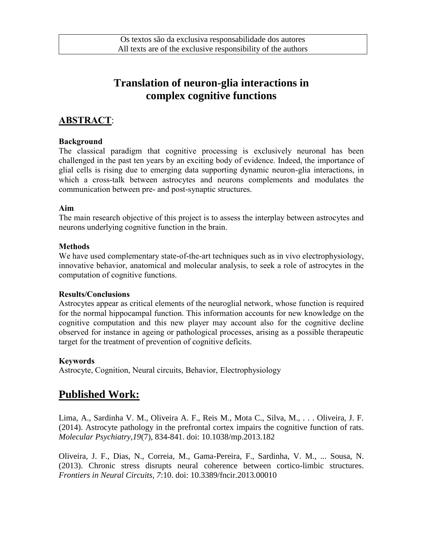# **Translation of neuron-glia interactions in complex cognitive functions**

## **ABSTRACT**:

### **Background**

The classical paradigm that cognitive processing is exclusively neuronal has been challenged in the past ten years by an exciting body of evidence. Indeed, the importance of glial cells is rising due to emerging data supporting dynamic neuron-glia interactions, in which a cross-talk between astrocytes and neurons complements and modulates the communication between pre- and post-synaptic structures.

#### **Aim**

The main research objective of this project is to assess the interplay between astrocytes and neurons underlying cognitive function in the brain.

#### **Methods**

We have used complementary state-of-the-art techniques such as in vivo electrophysiology, innovative behavior, anatomical and molecular analysis, to seek a role of astrocytes in the computation of cognitive functions.

#### **Results/Conclusions**

Astrocytes appear as critical elements of the neuroglial network, whose function is required for the normal hippocampal function. This information accounts for new knowledge on the cognitive computation and this new player may account also for the cognitive decline observed for instance in ageing or pathological processes, arising as a possible therapeutic target for the treatment of prevention of cognitive deficits.

### **Keywords**

Astrocyte, Cognition, Neural circuits, Behavior, Electrophysiology

# **Published Work:**

Lima, A., Sardinha V. M., Oliveira A. F., Reis M., Mota C., Silva, M., . . . Oliveira, J. F. (2014). Astrocyte pathology in the prefrontal cortex impairs the cognitive function of rats. *Molecular Psychiatry,19*(7), 834-841. doi: 10.1038/mp.2013.182

Oliveira, J. F., Dias, N., Correia, M., Gama-Pereira, F., Sardinha, V. M., ... Sousa, N. (2013). Chronic stress disrupts neural coherence between cortico-limbic structures. *Frontiers in Neural Circuits, 7*:10. doi: 10.3389/fncir.2013.00010